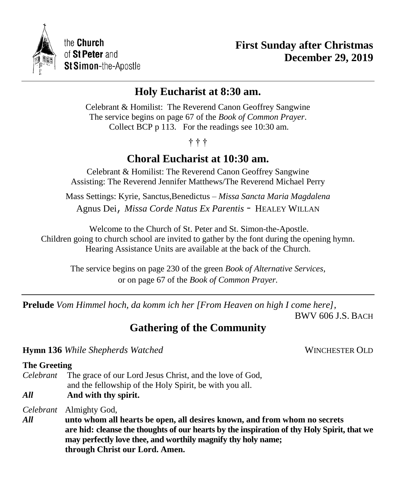

# **Holy Eucharist at 8:30 am.**

Celebrant & Homilist: The Reverend Canon Geoffrey Sangwine The service begins on page 67 of the *Book of Common Prayer*. Collect BCP p 113. For the readings see 10:30 am.

† † †

## **Choral Eucharist at 10:30 am.**

Celebrant & Homilist: The Reverend Canon Geoffrey Sangwine Assisting: The Reverend Jennifer Matthews/The Reverend Michael Perry

Mass Settings: Kyrie, Sanctus,Benedictus – *Missa Sancta Maria Magdalena* Agnus Dei, *Missa Corde Natus Ex Parentis* - HEALEY WILLAN

Welcome to the Church of St. Peter and St. Simon-the-Apostle. Children going to church school are invited to gather by the font during the opening hymn. Hearing Assistance Units are available at the back of the Church.

The service begins on page 230 of the green *Book of Alternative Services*, or on page 67 of the *Book of Common Prayer.*

**Prelude** *Vom Himmel hoch, da komm ich her [From Heaven on high I come here],* BWV 606 J.S. BACH

## **Gathering of the Community**

**Hymn 136** *While Shepherds Watched* WINCHESTER OLD

### **The Greeting**

- *Celebrant* The grace of our Lord Jesus Christ, and the love of God, and the fellowship of the Holy Spirit, be with you all.
- *All* **And with thy spirit.**

*Celebrant* Almighty God,

*All* **unto whom all hearts be open, all desires known, and from whom no secrets are hid: cleanse the thoughts of our hearts by the inspiration of thy Holy Spirit, that we may perfectly love thee, and worthily magnify thy holy name; through Christ our Lord. Amen.**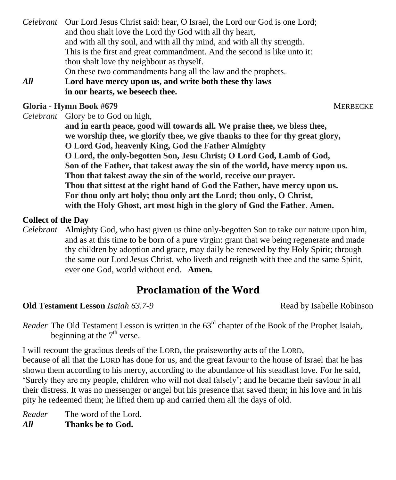- *Celebrant* Our Lord Jesus Christ said: hear, O Israel, the Lord our God is one Lord; and thou shalt love the Lord thy God with all thy heart, and with all thy soul, and with all thy mind, and with all thy strength. This is the first and great commandment. And the second is like unto it: thou shalt love thy neighbour as thyself. On these two commandments hang all the law and the prophets.
- *All* **Lord have mercy upon us, and write both these thy laws in our hearts, we beseech thee.**

## **Gloria - Hymn Book #679** MERBECKE

*Celebrant* Glory be to God on high,

**and in earth peace, good will towards all. We praise thee, we bless thee, we worship thee, we glorify thee, we give thanks to thee for thy great glory, O Lord God, heavenly King, God the Father Almighty O Lord, the only-begotten Son, Jesu Christ; O Lord God, Lamb of God, Son of the Father, that takest away the sin of the world, have mercy upon us. Thou that takest away the sin of the world, receive our prayer. Thou that sittest at the right hand of God the Father, have mercy upon us. For thou only art holy; thou only art the Lord; thou only, O Christ, with the Holy Ghost, art most high in the glory of God the Father. Amen.**

### **Collect of the Day**

*Celebrant* Almighty God, who hast given us thine only-begotten Son to take our nature upon him, and as at this time to be born of a pure virgin: grant that we being regenerate and made thy children by adoption and grace, may daily be renewed by thy Holy Spirit; through the same our Lord Jesus Christ, who liveth and reigneth with thee and the same Spirit, ever one God, world without end. **Amen.**

# **Proclamation of the Word**

**Old Testament Lesson** *Isaiah 63.7-9* Read by Isabelle Robinson

*Reader* The Old Testament Lesson is written in the 63<sup>rd</sup> chapter of the Book of the Prophet Isaiah, beginning at the  $7<sup>th</sup>$  verse.

I will recount the gracious deeds of the LORD, the praiseworthy acts of the LORD, because of all that the LORD has done for us, and the great favour to the house of Israel that he has shown them according to his mercy, according to the abundance of his steadfast love. For he said, 'Surely they are my people, children who will not deal falsely'; and he became their saviour in all their distress. It was no messenger or angel but his presence that saved them; in his love and in his pity he redeemed them; he lifted them up and carried them all the days of old.

*Reader* The word of the Lord. *All* **Thanks be to God.**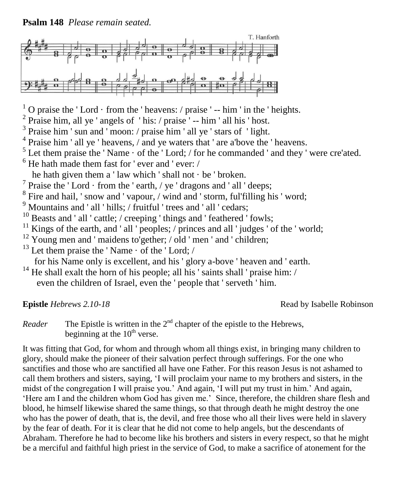**Psalm 148** *Please remain seated.*



 $1$  O praise the 'Lord  $\cdot$  from the ' heavens: / praise ' -- him ' in the ' heights.

<sup>2</sup> Praise him, all ye ' angels of ' his: / praise ' -- him ' all his ' host.

<sup>3</sup> Praise him ' sun and ' moon: / praise him ' all ye ' stars of ' light.

 $4$  Praise him ' all ye ' heavens,  $\sqrt{ }$  and ye waters that ' are a'bove the ' heavens.

 $<sup>5</sup>$  Let them praise the 'Name  $\cdot$  of the 'Lord; / for he commanded ' and they ' were cre'ated.</sup>

 $<sup>6</sup>$  He hath made them fast for 'ever and 'ever: /</sup>

he hath given them a ' law which ' shall not  $\cdot$  be ' broken.

 $7$  Praise the 'Lord  $\cdot$  from the 'earth, / ye 'dragons and ' all ' deeps;

<sup>8</sup> Fire and hail, 'snow and 'vapour, / wind and 'storm, ful'filling his 'word;

 $9$  Mountains and ' all ' hills; / fruitful ' trees and ' all ' cedars;

 $10$  Beasts and ' all ' cattle; / creeping ' things and ' feathered ' fowls;

 $11$  Kings of the earth, and ' all ' peoples; / princes and all ' judges ' of the ' world;

<sup>12</sup> Young men and ' maidens to'gether; / old ' men ' and ' children;

<sup>13</sup> Let them praise the 'Name  $\cdot$  of the 'Lord; /

for his Name only is excellent, and his ' glory a-bove ' heaven and ' earth.

<sup>14</sup> He shall exalt the horn of his people; all his ' saints shall ' praise him: / even the children of Israel, even the ' people that ' serveth ' him.

**Epistle** *Hebrews* 2.10-18 Read by Isabelle Robinson

*Reader* The Epistle is written in the  $2<sup>nd</sup>$  chapter of the epistle to the Hebrews, beginning at the  $10^{th}$  verse.

It was fitting that God, for whom and through whom all things exist, in bringing many children to glory, should make the pioneer of their salvation perfect through sufferings. For the one who sanctifies and those who are sanctified all have one Father. For this reason Jesus is not ashamed to call them brothers and sisters, saying, 'I will proclaim your name to my brothers and sisters, in the midst of the congregation I will praise you.' And again, 'I will put my trust in him.' And again, 'Here am I and the children whom God has given me.' Since, therefore, the children share flesh and blood, he himself likewise shared the same things, so that through death he might destroy the one who has the power of death, that is, the devil, and free those who all their lives were held in slavery by the fear of death. For it is clear that he did not come to help angels, but the descendants of Abraham. Therefore he had to become like his brothers and sisters in every respect, so that he might be a merciful and faithful high priest in the service of God, to make a sacrifice of atonement for the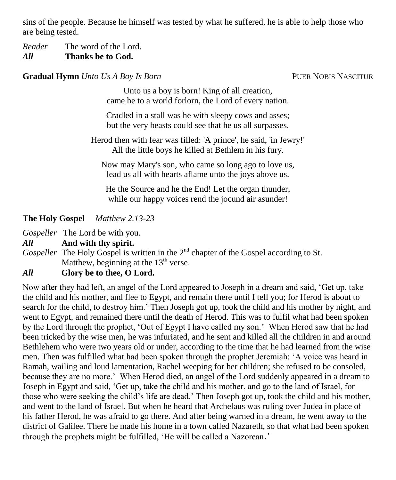sins of the people. Because he himself was tested by what he suffered, he is able to help those who are being tested.

#### *Reader* The word of the Lord. *All* **Thanks be to God.**

**Gradual Hymn** *Unto Us A Boy Is Born* PUER NOBIS NASCITUR

Unto us a boy is born! King of all creation, came he to a world forlorn, the Lord of every nation.

Cradled in a stall was he with sleepy cows and asses; but the very beasts could see that he us all surpasses.

Herod then with fear was filled: 'A prince', he said, 'in Jewry!' All the little boys he killed at Bethlem in his fury.

Now may Mary's son, who came so long ago to love us, lead us all with hearts aflame unto the joys above us.

He the Source and he the End! Let the organ thunder, while our happy voices rend the jocund air asunder!

### **The Holy Gospel** *Matthew 2.13-23*

*Gospeller* The Lord be with you.

*All* **And with thy spirit.**

Gospeller The Holy Gospel is written in the 2<sup>nd</sup> chapter of the Gospel according to St. Matthew, beginning at the  $13<sup>th</sup>$  verse.

### *All* **Glory be to thee, O Lord.**

Now after they had left, an angel of the Lord appeared to Joseph in a dream and said, 'Get up, take the child and his mother, and flee to Egypt, and remain there until I tell you; for Herod is about to search for the child, to destroy him.' Then Joseph got up, took the child and his mother by night, and went to Egypt, and remained there until the death of Herod. This was to fulfil what had been spoken by the Lord through the prophet, 'Out of Egypt I have called my son.' When Herod saw that he had been tricked by the wise men, he was infuriated, and he sent and killed all the children in and around Bethlehem who were two years old or under, according to the time that he had learned from the wise men. Then was fulfilled what had been spoken through the prophet Jeremiah: 'A voice was heard in Ramah, wailing and loud lamentation, Rachel weeping for her children; she refused to be consoled, because they are no more.' When Herod died, an angel of the Lord suddenly appeared in a dream to Joseph in Egypt and said, 'Get up, take the child and his mother, and go to the land of Israel, for those who were seeking the child's life are dead.' Then Joseph got up, took the child and his mother, and went to the land of Israel. But when he heard that Archelaus was ruling over Judea in place of his father Herod, he was afraid to go there. And after being warned in a dream, he went away to the district of Galilee. There he made his home in a town called Nazareth, so that what had been spoken through the prophets might be fulfilled, 'He will be called a Nazorean.'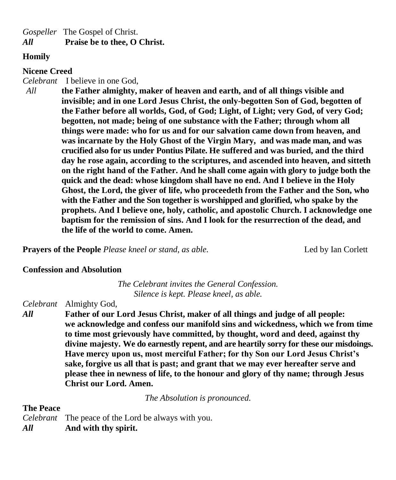*Gospeller* The Gospel of Christ. *All* **Praise be to thee, O Christ.**

#### **Homily**

**Nicene Creed** 

*Celebrant* I believe in one God,

*All* **the Father almighty, maker of heaven and earth, and of all things visible and invisible; and in one Lord Jesus Christ, the only-begotten Son of God, begotten of the Father before all worlds, God, of God; Light, of Light; very God, of very God; begotten, not made; being of one substance with the Father; through whom all things were made: who for us and for our salvation came down from heaven, and was incarnate by the Holy Ghost of the Virgin Mary, and was made man, and was crucified also for us under Pontius Pilate. He suffered and was buried, and the third day he rose again, according to the scriptures, and ascended into heaven, and sitteth on the right hand of the Father. And he shall come again with glory to judge both the quick and the dead: whose kingdom shall have no end. And I believe in the Holy Ghost, the Lord, the giver of life, who proceedeth from the Father and the Son, who with the Father and the Son together is worshipped and glorified, who spake by the prophets. And I believe one, holy, catholic, and apostolic Church. I acknowledge one baptism for the remission of sins. And I look for the resurrection of the dead, and the life of the world to come. Amen.**

**Prayers of the People** *Please kneel or stand, as able.* Led by Ian Corlett

#### **Confession and Absolution**

*The Celebrant invites the General Confession. Silence is kept. Please kneel, as able.*

*Celebrant* Almighty God,

*All* **Father of our Lord Jesus Christ, maker of all things and judge of all people: we acknowledge and confess our manifold sins and wickedness, which we from time to time most grievously have committed, by thought, word and deed, against thy divine majesty. We do earnestly repent, and are heartily sorry for these our misdoings. Have mercy upon us, most merciful Father; for thy Son our Lord Jesus Christ's sake, forgive us all that is past; and grant that we may ever hereafter serve and please thee in newness of life, to the honour and glory of thy name; through Jesus Christ our Lord. Amen.**

*The Absolution is pronounced.*

#### **The Peace**

*Celebrant* The peace of the Lord be always with you. *All* **And with thy spirit.**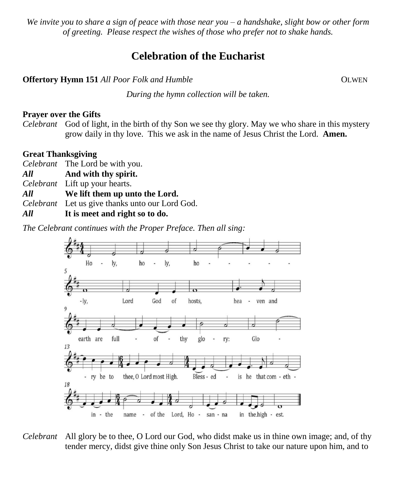*We invite you to share a sign of peace with those near you – a handshake, slight bow or other form of greeting. Please respect the wishes of those who prefer not to shake hands.*

## **Celebration of the Eucharist**

**Offertory Hymn 151** All Poor Folk and Humble *OLWEN* 

*During the hymn collection will be taken.*

#### **Prayer over the Gifts**

*Celebrant* God of light, in the birth of thy Son we see thy glory. May we who share in this mystery grow daily in thy love. This we ask in the name of Jesus Christ the Lord. **Amen.**

#### **Great Thanksgiving**

|            | <i>Celebrant</i> The Lord be with you.                    |
|------------|-----------------------------------------------------------|
|            | <i>All</i> <b>And with thy spirit.</b>                    |
|            | <i>Celebrant</i> Lift up your hearts.                     |
|            | <i>All</i> <b>Solution</b> We lift them up unto the Lord. |
|            | <i>Celebrant</i> Let us give thanks unto our Lord God.    |
| <i>All</i> | It is meet and right so to do.                            |

*The Celebrant continues with the Proper Preface. Then all sing:*



*Celebrant* All glory be to thee, O Lord our God, who didst make us in thine own image; and, of thy tender mercy, didst give thine only Son Jesus Christ to take our nature upon him, and to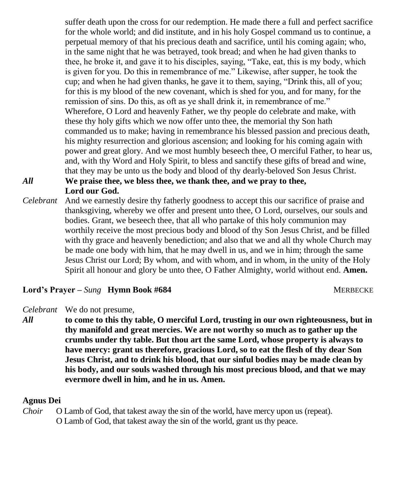suffer death upon the cross for our redemption. He made there a full and perfect sacrifice for the whole world; and did institute, and in his holy Gospel command us to continue, a perpetual memory of that his precious death and sacrifice, until his coming again; who, in the same night that he was betrayed, took bread; and when he had given thanks to thee, he broke it, and gave it to his disciples, saying, "Take, eat, this is my body, which is given for you. Do this in remembrance of me." Likewise, after supper, he took the cup; and when he had given thanks, he gave it to them, saying, "Drink this, all of you; for this is my blood of the new covenant, which is shed for you, and for many, for the remission of sins. Do this, as oft as ye shall drink it, in remembrance of me." Wherefore, O Lord and heavenly Father, we thy people do celebrate and make, with these thy holy gifts which we now offer unto thee, the memorial thy Son hath commanded us to make; having in remembrance his blessed passion and precious death, his mighty resurrection and glorious ascension; and looking for his coming again with power and great glory. And we most humbly beseech thee, O merciful Father, to hear us, and, with thy Word and Holy Spirit, to bless and sanctify these gifts of bread and wine, that they may be unto us the body and blood of thy dearly-beloved Son Jesus Christ. *All* **We praise thee, we bless thee, we thank thee, and we pray to thee, Lord our God.**

*Celebrant* And we earnestly desire thy fatherly goodness to accept this our sacrifice of praise and thanksgiving, whereby we offer and present unto thee, O Lord, ourselves, our souls and bodies. Grant, we beseech thee, that all who partake of this holy communion may worthily receive the most precious body and blood of thy Son Jesus Christ, and be filled with thy grace and heavenly benediction; and also that we and all thy whole Church may be made one body with him, that he may dwell in us, and we in him; through the same Jesus Christ our Lord; By whom, and with whom, and in whom, in the unity of the Holy Spirit all honour and glory be unto thee, O Father Almighty, world without end. **Amen.**

#### **Lord's Prayer –** *Sung* **Hymn Book #684** MERBECKE

*Celebrant* We do not presume,

*All* **to come to this thy table, O merciful Lord, trusting in our own righteousness, but in thy manifold and great mercies. We are not worthy so much as to gather up the crumbs under thy table. But thou art the same Lord, whose property is always to have mercy: grant us therefore, gracious Lord, so to eat the flesh of thy dear Son Jesus Christ, and to drink his blood, that our sinful bodies may be made clean by his body, and our souls washed through his most precious blood, and that we may evermore dwell in him, and he in us. Amen.**

#### **Agnus Dei**

*Choir* O Lamb of God, that takest away the sin of the world, have mercy upon us (repeat). O Lamb of God, that takest away the sin of the world, grant us thy peace.